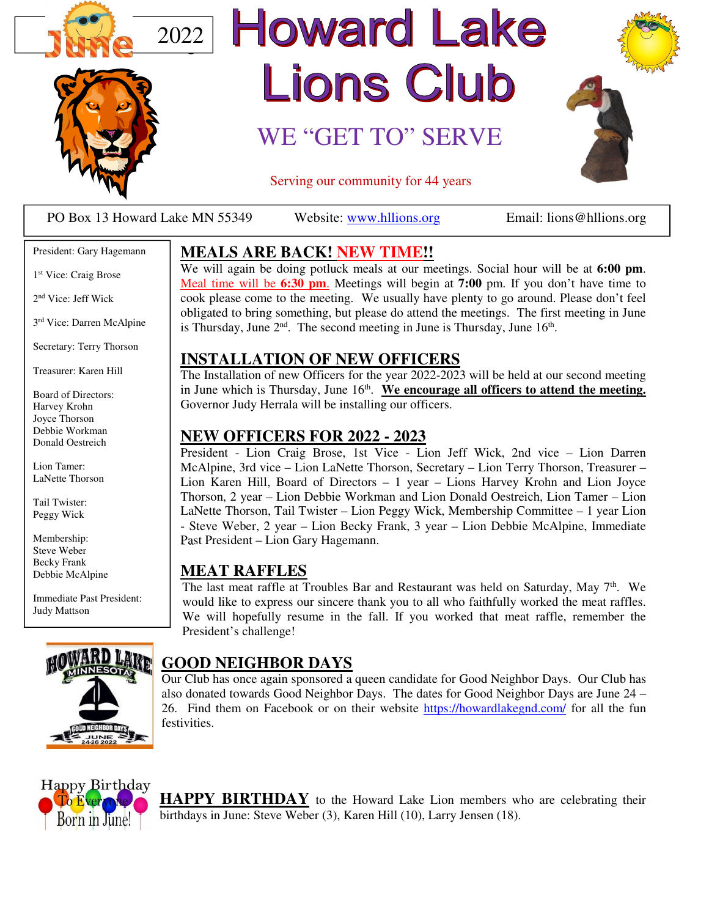



# **Howard Lake** Lions Club

### WE "GET TO" SERVE



Serving our community for 44 years

PO Box 13 Howard Lake MN 55349 Website: www.hllions.org Email: lions@hllions.org

President: Gary Hagemann

1 st Vice: Craig Brose

2 nd Vice: Jeff Wick

3 rd Vice: Darren McAlpine

Secretary: Terry Thorson

Treasurer: Karen Hill

Board of Directors: Harvey Krohn Joyce Thorson Debbie Workman Donald Oestreich

Lion Tamer: LaNette Thorson

Tail Twister: Peggy Wick

Membership: Steve Weber Becky Frank Debbie McAlpine

Immediate Past President: Judy Mattson



#### **MEALS ARE BACK! NEW TIME!!**

We will again be doing potluck meals at our meetings. Social hour will be at **6:00 pm**. Meal time will be **6:30 pm**. Meetings will begin at **7:00** pm. If you don't have time to cook please come to the meeting. We usually have plenty to go around. Please don't feel obligated to bring something, but please do attend the meetings. The first meeting in June is Thursday, June  $2<sup>nd</sup>$ . The second meeting in June is Thursday, June  $16<sup>th</sup>$ .

#### **INSTALLATION OF NEW OFFICERS**

The Installation of new Officers for the year 2022-2023 will be held at our second meeting in June which is Thursday, June 16<sup>th</sup>. We encourage all officers to attend the meeting. Governor Judy Herrala will be installing our officers.

#### **NEW OFFICERS FOR 2022 - 2023**

President - Lion Craig Brose, 1st Vice - Lion Jeff Wick, 2nd vice – Lion Darren McAlpine, 3rd vice – Lion LaNette Thorson, Secretary – Lion Terry Thorson, Treasurer – Lion Karen Hill, Board of Directors – 1 year – Lions Harvey Krohn and Lion Joyce Thorson, 2 year – Lion Debbie Workman and Lion Donald Oestreich, Lion Tamer – Lion LaNette Thorson, Tail Twister – Lion Peggy Wick, Membership Committee – 1 year Lion - Steve Weber, 2 year – Lion Becky Frank, 3 year – Lion Debbie McAlpine, Immediate Past President – Lion Gary Hagemann.

#### **MEAT RAFFLES**

The last meat raffle at Troubles Bar and Restaurant was held on Saturday, May  $7<sup>th</sup>$ . We would like to express our sincere thank you to all who faithfully worked the meat raffles. We will hopefully resume in the fall. If you worked that meat raffle, remember the President's challenge!

#### **GOOD NEIGHBOR DAYS**

Our Club has once again sponsored a queen candidate for Good Neighbor Days. Our Club has also donated towards Good Neighbor Days. The dates for Good Neighbor Days are June 24 – 26. Find them on Facebook or on their website https://howardlakegnd.com/ for all the fun festivities.



**HAPPY BIRTHDAY** to the Howard Lake Lion members who are celebrating their birthdays in June: Steve Weber (3), Karen Hill (10), Larry Jensen (18).